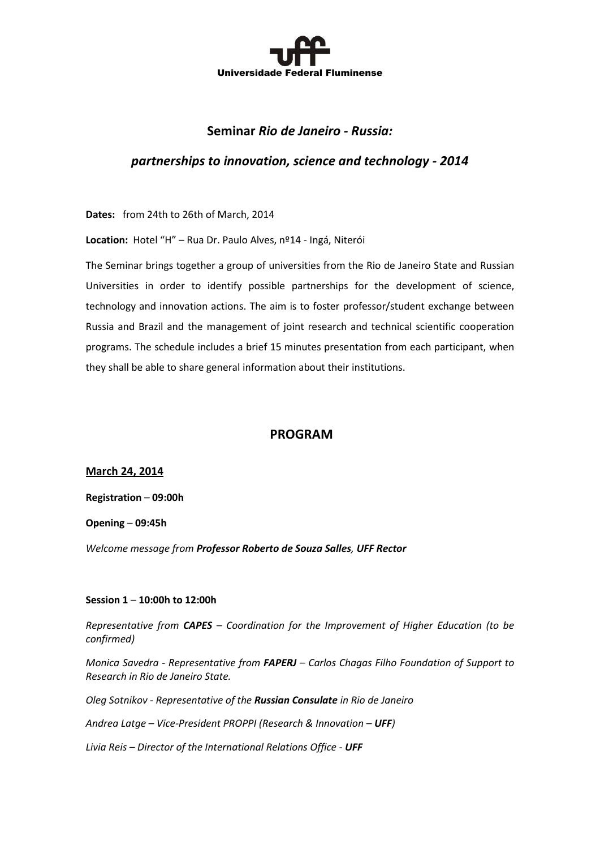

# **Seminar** *Rio de Janeiro - Russia:*

# *partnerships to innovation, science and technology - 2014*

**Dates:** from 24th to 26th of March, 2014

**Location:** Hotel "H" – Rua Dr. Paulo Alves, nº14 - Ingá, Niterói

The Seminar brings together a group of universities from the Rio de Janeiro State and Russian Universities in order to identify possible partnerships for the development of science, technology and innovation actions. The aim is to foster professor/student exchange between Russia and Brazil and the management of joint research and technical scientific cooperation programs. The schedule includes a brief 15 minutes presentation from each participant, when they shall be able to share general information about their institutions.

## **PROGRAM**

**March 24, 2014**

**Registration** – **09:00h**

**Opening** – **09:45h**

*Welcome message from Professor Roberto de Souza Salles, UFF Rector*

#### **Session 1** – **10:00h to 12:00h**

*Representative from CAPES – Coordination for the Improvement of Higher Education (to be confirmed)*

*Monica Savedra - Representative from FAPERJ – Carlos Chagas Filho Foundation of Support to Research in Rio de Janeiro State.*

*Oleg Sotnikov - Representative of the Russian Consulate in Rio de Janeiro*

*Andrea Latge – Vice-President PROPPI (Research & Innovation – UFF)*

*Livia Reis – Director of the International Relations Office - UFF*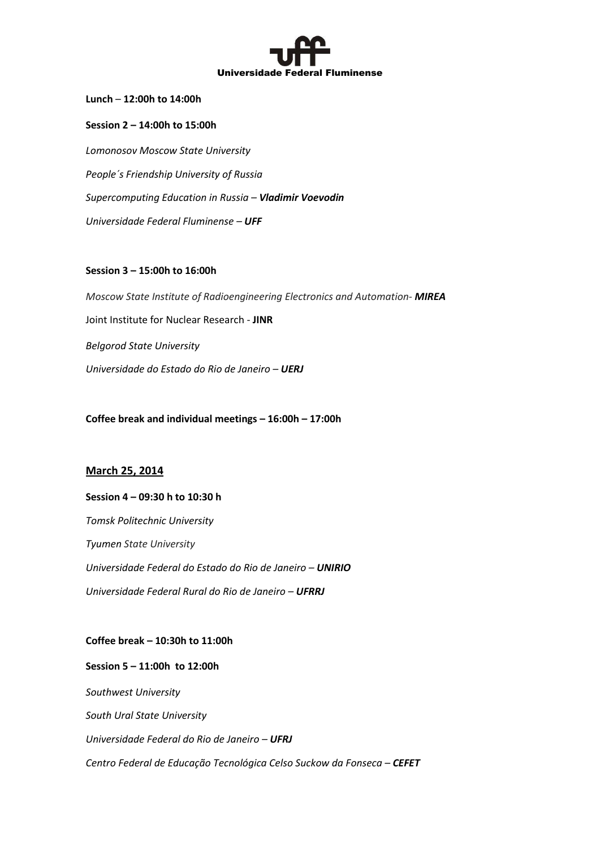

**Lunch** – **12:00h to 14:00h**

**Session 2 – 14:00h to 15:00h** *Lomonosov Moscow State University People´s Friendship University of Russia Supercomputing Education in Russia – Vladimir Voevodin Universidade Federal Fluminense – UFF*

## **Session 3 – 15:00h to 16:00h**

*Moscow State Institute of Radioengineering Electronics and Automation- MIREA* Joint Institute for Nuclear Research - **JINR** *Belgorod State University Universidade do Estado do Rio de Janeiro – UERJ*

**Coffee break and individual meetings – 16:00h – 17:00h**

## **March 25, 2014**

#### **Session 4 – 09:30 h to 10:30 h**

*Tomsk Politechnic University Tyumen State University Universidade Federal do Estado do Rio de Janeiro – UNIRIO Universidade Federal Rural do Rio de Janeiro – UFRRJ*

## **Coffee break – 10:30h to 11:00h**

**Session 5 – 11:00h to 12:00h**  *Southwest University South Ural State University Universidade Federal do Rio de Janeiro – UFRJ Centro Federal de Educação Tecnológica Celso Suckow da Fonseca – CEFET*